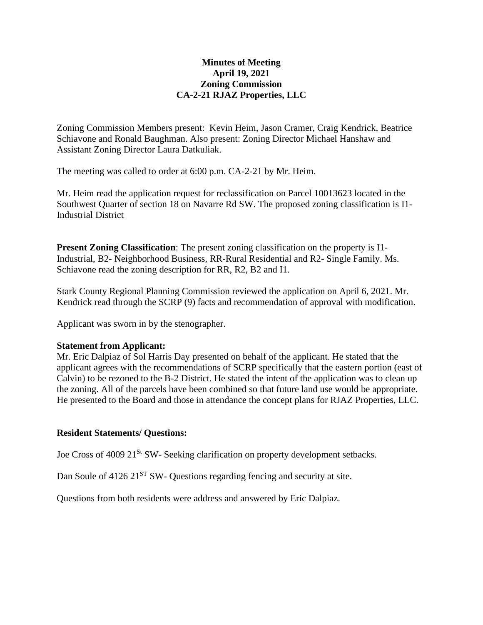# **Minutes of Meeting April 19, 2021 Zoning Commission CA-2-21 RJAZ Properties, LLC**

Zoning Commission Members present: Kevin Heim, Jason Cramer, Craig Kendrick, Beatrice Schiavone and Ronald Baughman. Also present: Zoning Director Michael Hanshaw and Assistant Zoning Director Laura Datkuliak.

The meeting was called to order at 6:00 p.m. CA-2-21 by Mr. Heim.

Mr. Heim read the application request for reclassification on Parcel 10013623 located in the Southwest Quarter of section 18 on Navarre Rd SW. The proposed zoning classification is I1- Industrial District

**Present Zoning Classification**: The present zoning classification on the property is I1- Industrial, B2- Neighborhood Business, RR-Rural Residential and R2- Single Family. Ms. Schiavone read the zoning description for RR, R2, B2 and I1.

Stark County Regional Planning Commission reviewed the application on April 6, 2021. Mr. Kendrick read through the SCRP (9) facts and recommendation of approval with modification.

Applicant was sworn in by the stenographer.

# **Statement from Applicant:**

Mr. Eric Dalpiaz of Sol Harris Day presented on behalf of the applicant. He stated that the applicant agrees with the recommendations of SCRP specifically that the eastern portion (east of Calvin) to be rezoned to the B-2 District. He stated the intent of the application was to clean up the zoning. All of the parcels have been combined so that future land use would be appropriate. He presented to the Board and those in attendance the concept plans for RJAZ Properties, LLC.

# **Resident Statements/ Questions:**

Joe Cross of 4009 21<sup>St</sup> SW- Seeking clarification on property development setbacks.

Dan Soule of  $4126 \, 21^{ST}$  SW- Questions regarding fencing and security at site.

Questions from both residents were address and answered by Eric Dalpiaz.